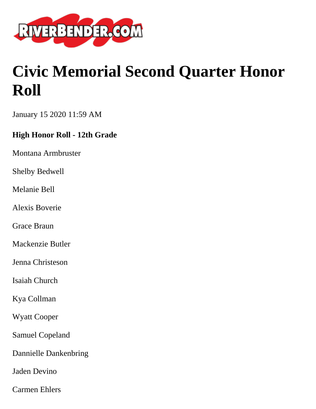

# **Civic Memorial Second Quarter Honor Roll**

January 15 2020 11:59 AM

# **High Honor Roll - 12th Grade**

Montana Armbruster

Shelby Bedwell

Melanie Bell

Alexis Boverie

Grace Braun

Mackenzie Butler

Jenna Christeson

Isaiah Church

Kya Collman

Wyatt Cooper

Samuel Copeland

Dannielle Dankenbring

Jaden Devino

Carmen Ehlers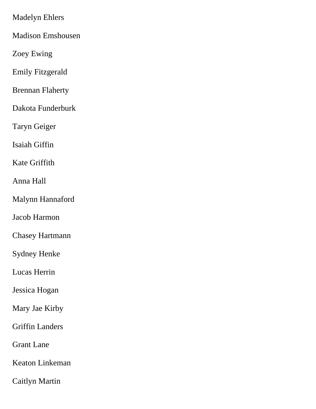Madelyn Ehlers

Madison Emshousen

Zoey Ewing

Emily Fitzgerald

Brennan Flaherty

Dakota Funderburk

Taryn Geiger

Isaiah Giffin

Kate Griffith

Anna Hall

Malynn Hannaford

Jacob Harmon

Chasey Hartmann

Sydney Henke

Lucas Herrin

Jessica Hogan

Mary Jae Kirby

Griffin Landers

Grant Lane

Keaton Linkeman

Caitlyn Martin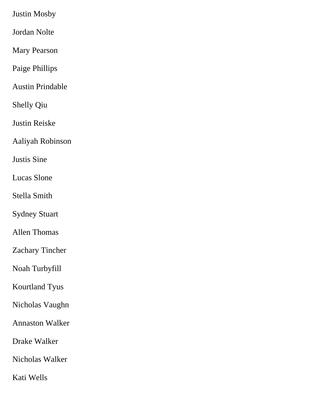Justin Mosby

Jordan Nolte

Mary Pearson

Paige Phillips

Austin Prindable

Shelly Qiu

Justin Reiske

Aaliyah Robinson

Justis Sine

Lucas Slone

Stella Smith

Sydney Stuart

Allen Thomas

Zachary Tincher

Noah Turbyfill

Kourtland Tyus

Nicholas Vaughn

Annaston Walker

Drake Walker

Nicholas Walker

Kati Wells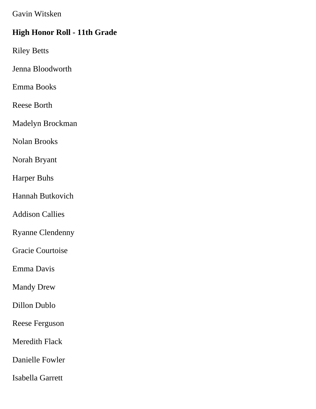Gavin Witsken

#### **High Honor Roll - 11th Grade**

Riley Betts

Jenna Bloodworth

Emma Books

Reese Borth

Madelyn Brockman

Nolan Brooks

Norah Bryant

Harper Buhs

Hannah Butkovich

Addison Callies

Ryanne Clendenny

Gracie Courtoise

Emma Davis

Mandy Drew

Dillon Dublo

Reese Ferguson

Meredith Flack

Danielle Fowler

Isabella Garrett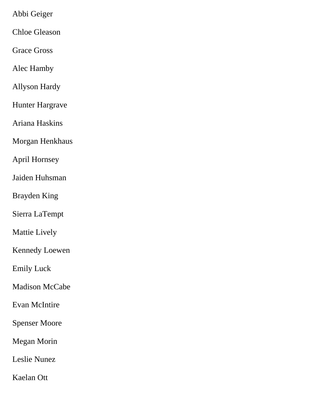Abbi Geiger

Chloe Gleason

Grace Gross

Alec Hamby

Allyson Hardy

Hunter Hargrave

Ariana Haskins

Morgan Henkhaus

April Hornsey

Jaiden Huhsman

Brayden King

Sierra LaTempt

Mattie Lively

Kennedy Loewen

Emily Luck

Madison McCabe

Evan McIntire

Spenser Moore

Megan Morin

Leslie Nunez

Kaelan Ott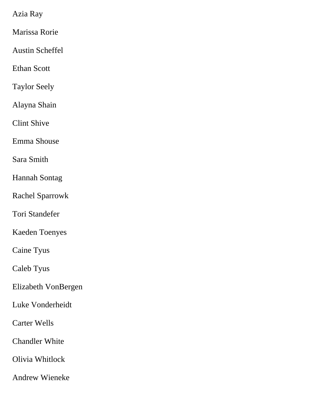Azia Ray

Marissa Rorie

Austin Scheffel

Ethan Scott

Taylor Seely

Alayna Shain

Clint Shive

Emma Shouse

Sara Smith

Hannah Sontag

Rachel Sparrowk

Tori Standefer

Kaeden Toenyes

Caine Tyus

Caleb Tyus

Elizabeth VonBergen

Luke Vonderheidt

Carter Wells

Chandler White

Olivia Whitlock

Andrew Wieneke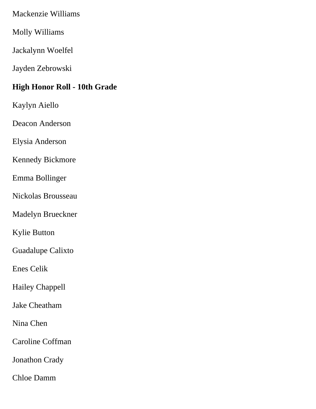Mackenzie Williams

Molly Williams

Jackalynn Woelfel

Jayden Zebrowski

# **High Honor Roll - 10th Grade**

Kaylyn Aiello

Deacon Anderson

Elysia Anderson

Kennedy Bickmore

Emma Bollinger

Nickolas Brousseau

Madelyn Brueckner

Kylie Button

Guadalupe Calixto

Enes Celik

Hailey Chappell

Jake Cheatham

Nina Chen

Caroline Coffman

Jonathon Crady

Chloe Damm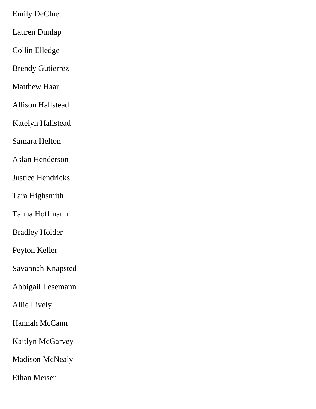Emily DeClue

Lauren Dunlap

Collin Elledge

Brendy Gutierrez

Matthew Haar

Allison Hallstead

Katelyn Hallstead

Samara Helton

Aslan Henderson

Justice Hendricks

Tara Highsmith

Tanna Hoffmann

Bradley Holder

Peyton Keller

Savannah Knapsted

Abbigail Lesemann

Allie Lively

Hannah McCann

Kaitlyn McGarvey

Madison McNealy

Ethan Meiser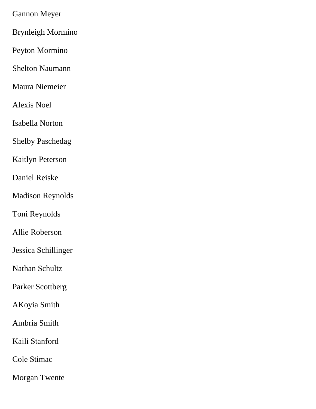Gannon Meyer

Brynleigh Mormino

Peyton Mormino

Shelton Naumann

Maura Niemeier

Alexis Noel

Isabella Norton

Shelby Paschedag

Kaitlyn Peterson

Daniel Reiske

Madison Reynolds

Toni Reynolds

Allie Roberson

Jessica Schillinger

Nathan Schultz

Parker Scottberg

AKoyia Smith

Ambria Smith

Kaili Stanford

Cole Stimac

Morgan Twente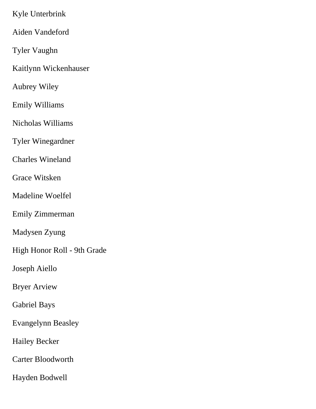Kyle Unterbrink

Aiden Vandeford

Tyler Vaughn

Kaitlynn Wickenhauser

Aubrey Wiley

Emily Williams

Nicholas Williams

Tyler Winegardner

Charles Wineland

Grace Witsken

Madeline Woelfel

Emily Zimmerman

Madysen Zyung

High Honor Roll - 9th Grade

Joseph Aiello

Bryer Arview

Gabriel Bays

Evangelynn Beasley

Hailey Becker

Carter Bloodworth

Hayden Bodwell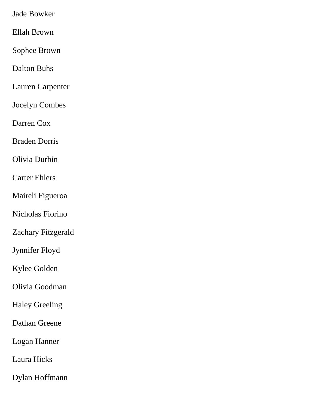Jade Bowker

Ellah Brown

Sophee Brown

Dalton Buhs

Lauren Carpenter

Jocelyn Combes

Darren Cox

Braden Dorris

Olivia Durbin

Carter Ehlers

Maireli Figueroa

Nicholas Fiorino

Zachary Fitzgerald

Jynnifer Floyd

Kylee Golden

Olivia Goodman

Haley Greeling

Dathan Greene

Logan Hanner

Laura Hicks

Dylan Hoffmann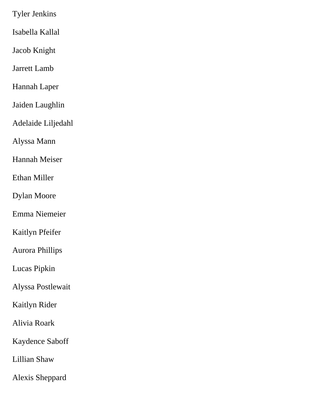Tyler Jenkins

Isabella Kallal

Jacob Knight

Jarrett Lamb

Hannah Laper

Jaiden Laughlin

Adelaide Liljedahl

Alyssa Mann

Hannah Meiser

Ethan Miller

Dylan Moore

Emma Niemeier

Kaitlyn Pfeifer

Aurora Phillips

Lucas Pipkin

Alyssa Postlewait

Kaitlyn Rider

Alivia Roark

Kaydence Saboff

Lillian Shaw

Alexis Sheppard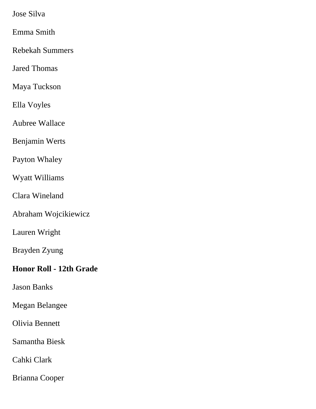Jose Silva

Emma Smith

Rebekah Summers

Jared Thomas

Maya Tuckson

Ella Voyles

Aubree Wallace

Benjamin Werts

Payton Whaley

Wyatt Williams

Clara Wineland

Abraham Wojcikiewicz

Lauren Wright

Brayden Zyung

## **Honor Roll - 12th Grade**

Jason Banks

Megan Belangee

Olivia Bennett

Samantha Biesk

Cahki Clark

Brianna Cooper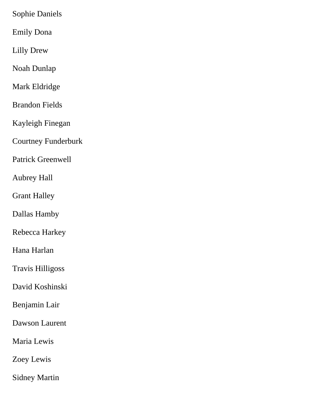Sophie Daniels

Emily Dona

Lilly Drew

Noah Dunlap

Mark Eldridge

Brandon Fields

Kayleigh Finegan

Courtney Funderburk

Patrick Greenwell

Aubrey Hall

Grant Halley

Dallas Hamby

Rebecca Harkey

Hana Harlan

Travis Hilligoss

David Koshinski

Benjamin Lair

Dawson Laurent

Maria Lewis

Zoey Lewis

Sidney Martin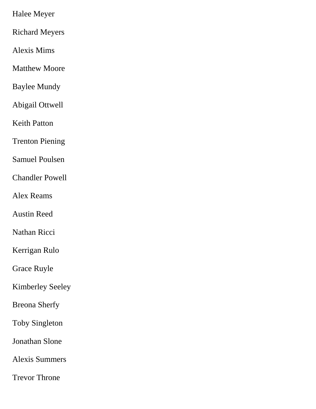Halee Meyer

Richard Meyers

Alexis Mims

Matthew Moore

Baylee Mundy

Abigail Ottwell

Keith Patton

Trenton Piening

Samuel Poulsen

Chandler Powell

Alex Reams

Austin Reed

Nathan Ricci

Kerrigan Rulo

Grace Ruyle

Kimberley Seeley

Breona Sherfy

Toby Singleton

Jonathan Slone

Alexis Summers

Trevor Throne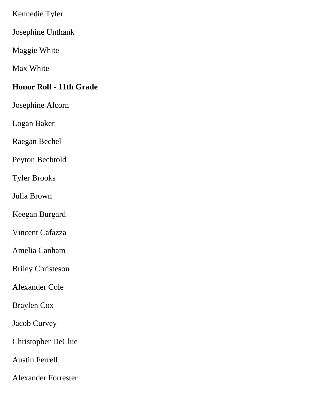Kennedie Tyler

Josephine Unthank

Maggie White

Max White

#### **Honor Roll - 11th Grade**

Josephine Alcorn

Logan Baker

Raegan Bechel

Peyton Bechtold

Tyler Brooks

Julia Brown

Keegan Burgard

Vincent Cafazza

Amelia Canham

Briley Christeson

Alexander Cole

Braylen Cox

Jacob Curvey

Christopher DeClue

Austin Ferrell

Alexander Forrester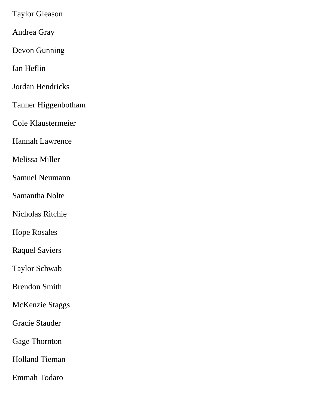Taylor Gleason

Andrea Gray

Devon Gunning

Ian Heflin

Jordan Hendricks

Tanner Higgenbotham

Cole Klaustermeier

Hannah Lawrence

Melissa Miller

Samuel Neumann

Samantha Nolte

Nicholas Ritchie

Hope Rosales

Raquel Saviers

Taylor Schwab

Brendon Smith

McKenzie Staggs

Gracie Stauder

Gage Thornton

Holland Tieman

Emmah Todaro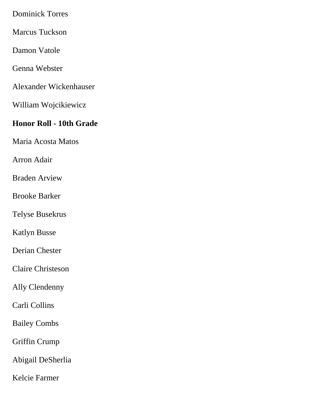Dominick Torres

Marcus Tuckson

Damon Vatole

Genna Webster

Alexander Wickenhauser

William Wojcikiewicz

#### **Honor Roll - 10th Grade**

Maria Acosta Matos

Arron Adair

Braden Arview

Brooke Barker

Telyse Busekrus

Katlyn Busse

Derian Chester

Claire Christeson

Ally Clendenny

Carli Collins

Bailey Combs

Griffin Crump

Abigail DeSherlia

Kelcie Farmer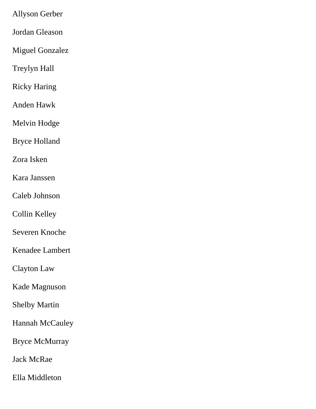Allyson Gerber

Jordan Gleason

Miguel Gonzalez

Treylyn Hall

Ricky Haring

Anden Hawk

Melvin Hodge

Bryce Holland

Zora Isken

Kara Janssen

Caleb Johnson

Collin Kelley

Severen Knoche

Kenadee Lambert

Clayton Law

Kade Magnuson

Shelby Martin

Hannah McCauley

Bryce McMurray

Jack McRae

Ella Middleton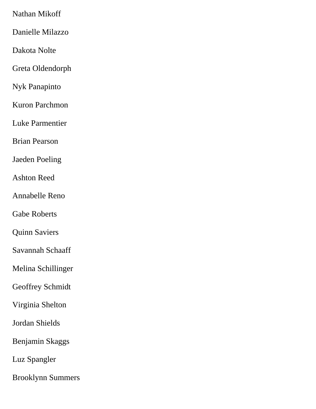Nathan Mikoff

Danielle Milazzo

Dakota Nolte

Greta Oldendorph

Nyk Panapinto

Kuron Parchmon

Luke Parmentier

Brian Pearson

Jaeden Poeling

Ashton Reed

Annabelle Reno

Gabe Roberts

Quinn Saviers

Savannah Schaaff

Melina Schillinger

Geoffrey Schmidt

Virginia Shelton

Jordan Shields

Benjamin Skaggs

Luz Spangler

Brooklynn Summers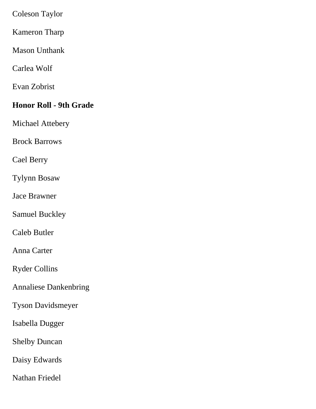Coleson Taylor

Kameron Tharp

Mason Unthank

Carlea Wolf

Evan Zobrist

## **Honor Roll - 9th Grade**

Michael Attebery

Brock Barrows

Cael Berry

Tylynn Bosaw

Jace Brawner

Samuel Buckley

Caleb Butler

Anna Carter

Ryder Collins

Annaliese Dankenbring

Tyson Davidsmeyer

Isabella Dugger

Shelby Duncan

Daisy Edwards

Nathan Friedel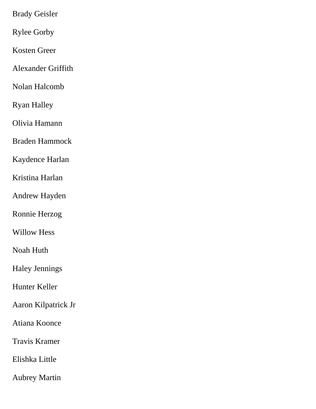Brady Geisler

Rylee Gorby

Kosten Greer

Alexander Griffith

Nolan Halcomb

Ryan Halley

Olivia Hamann

Braden Hammock

Kaydence Harlan

Kristina Harlan

Andrew Hayden

Ronnie Herzog

Willow Hess

Noah Huth

Haley Jennings

Hunter Keller

Aaron Kilpatrick Jr

Atiana Koonce

Travis Kramer

Elishka Little

Aubrey Martin